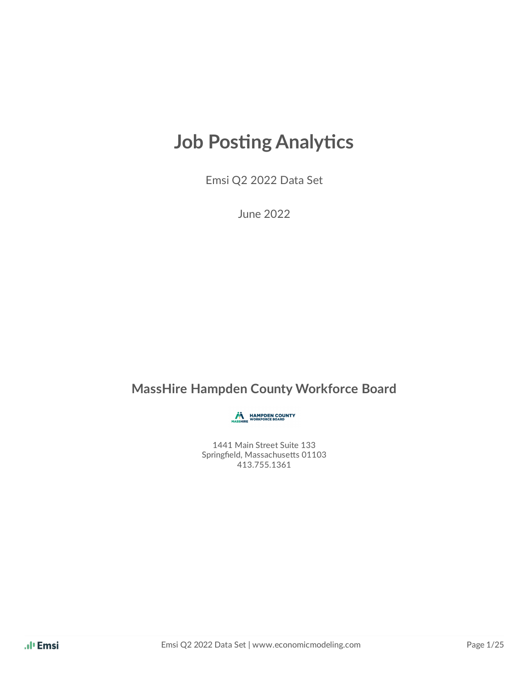# **Job Posting Analytics**

Emsi Q2 2022 Data Set

June 2022

### **MassHire Hampden County Workforce Board**

HAMPDEN COUNTY

1441 Main Street Suite 133 Springfield, Massachusetts 01103 413.755.1361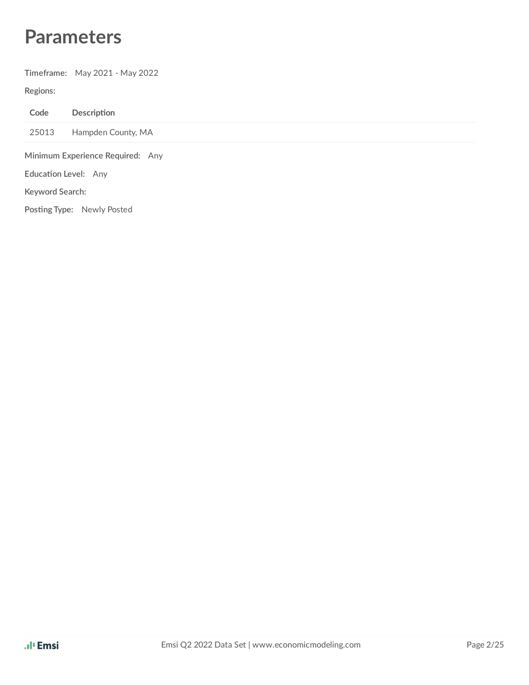# **Parameters**

**Timeframe:** May 2021 - May 2022

#### **Regions:**

| Code                             | Description                |  |  |
|----------------------------------|----------------------------|--|--|
| 25013                            | Hampden County, MA         |  |  |
| Minimum Experience Required: Any |                            |  |  |
| Education Level: Any             |                            |  |  |
| Keyword Search:                  |                            |  |  |
|                                  | Posting Type: Newly Posted |  |  |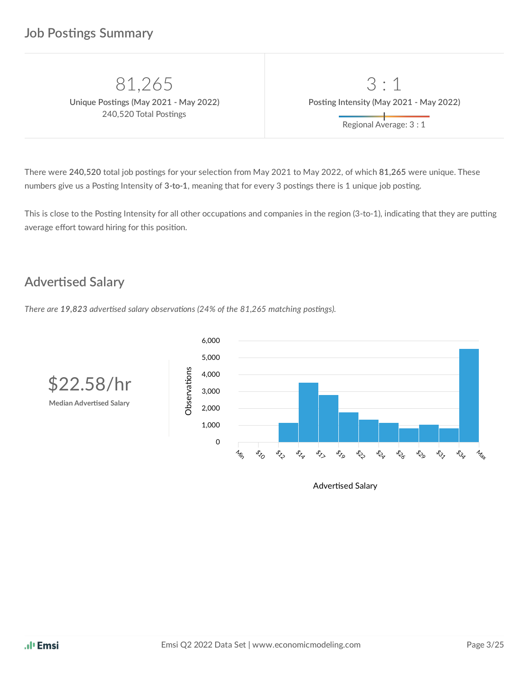240,520 Total Postings

81,265 3 : 1  $\blacksquare$  **Postings** (May 2021 - May 2022) **Posting Intensity** (May 2021 - May 2022) Regional Average: 3 : 1

There were 240,520 total job postings for your selection from May 2021 to May 2022, of which 81,265 were unique. These numbers give us a Posting Intensity of 3-to-1, meaning that for every 3 postings there is 1 unique job posting.

This is close to the Posting Intensity for all other occupations and companies in the region (3-to-1), indicating that they are putting average effort toward hiring for this position.

### **Advertised Salary**

*There* are 19,823 advertised salary observations (24% of the 81,265 matching postings).

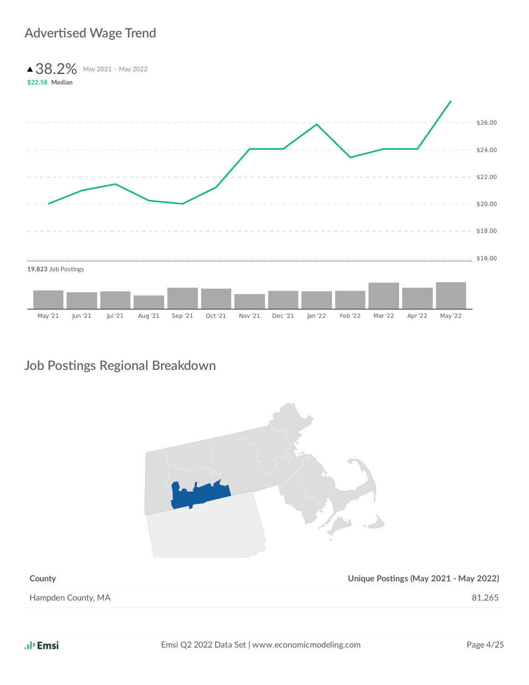### **Advertised Wage Trend**

▲ 38.2% May 2021 - May 2022 **\$22.58 Median** 19,823 Job Postings

May '21 Jun '21 Jul '21 Aug '21 Sep '21 Oct '21 Nov '21 Dec '21 Jan '22 Feb '22 Mar '22 Apr '22 May '22

### **Job Posngs Regional Breakdown**



**County County COUNTER**  $\alpha$  **Unique Postings** (May 2021 - May 2022)

Hampden County, MA 81,265

 $$16.00$ 

\$18.00

\$20.00

\$22.00

\$24.00

\$26.00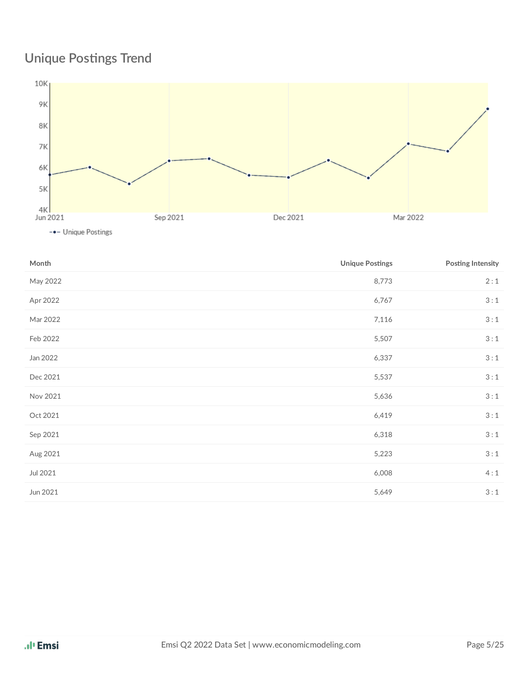# **Unique Postings Trend**



| Month    | <b>Unique Postings</b> | Posting Intensity |
|----------|------------------------|-------------------|
| May 2022 | 8,773                  | 2:1               |
| Apr 2022 | 6,767                  | 3:1               |
| Mar 2022 | 7,116                  | 3:1               |
| Feb 2022 | 5,507                  | 3:1               |
| Jan 2022 | 6,337                  | 3:1               |
| Dec 2021 | 5,537                  | 3:1               |
| Nov 2021 | 5,636                  | 3:1               |
| Oct 2021 | 6,419                  | 3:1               |
| Sep 2021 | 6,318                  | 3:1               |
| Aug 2021 | 5,223                  | 3:1               |
| Jul 2021 | 6,008                  | 4:1               |
| Jun 2021 | 5,649                  | 3:1               |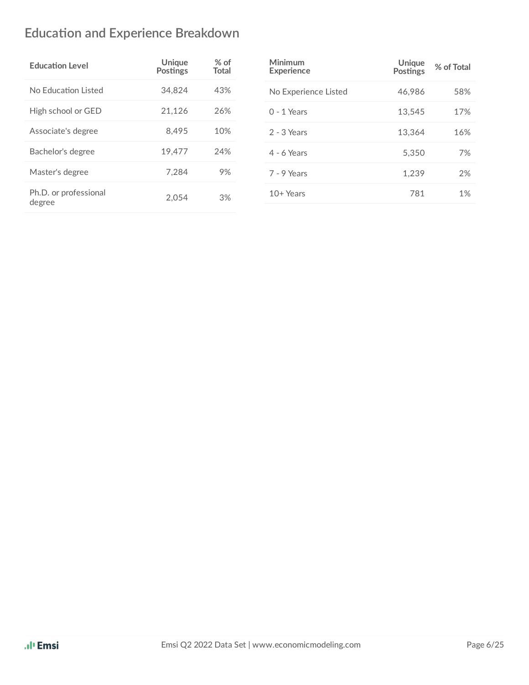# **Education and Experience Breakdown**

| <b>Education Level</b>          | Unique<br><b>Postings</b> | $%$ of<br><b>Total</b> |
|---------------------------------|---------------------------|------------------------|
| No Education Listed             | 34,824                    | 43%                    |
| High school or GED              | 21,126                    | 26%                    |
| Associate's degree              | 8.495                     | 10%                    |
| Bachelor's degree               | 19.477                    | 24%                    |
| Master's degree                 | 7.284                     | 9%                     |
| Ph.D. or professional<br>degree | 2.054                     | 3%                     |

| Minimum<br><b>Experience</b> | Unique<br><b>Postings</b> | % of Total |
|------------------------------|---------------------------|------------|
| No Experience Listed         | 46,986                    | 58%        |
| $0 - 1$ Years                | 13,545                    | 17%        |
| $2 - 3$ Years                | 13.364                    | 16%        |
| $4 - 6$ Years                | 5.350                     | 7%         |
| 7 - 9 Years                  | 1.239                     | 2%         |
| $10+Years$                   | 781                       | 1%         |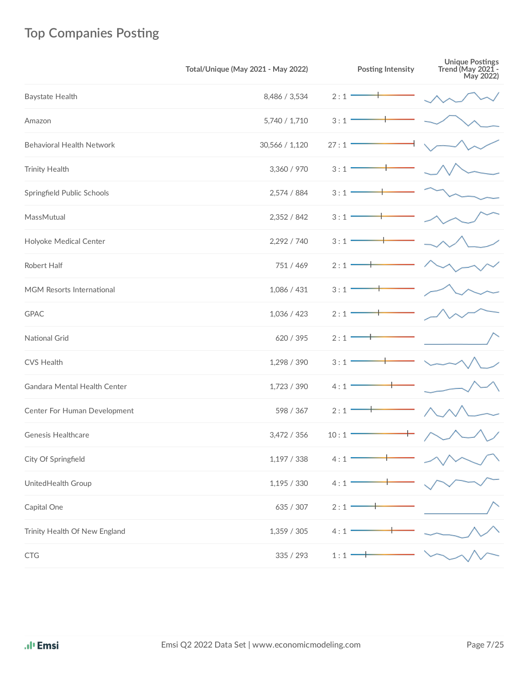# **Top Companies Posting**

|                                                                                                                 | Total/Unique (May 2021 - May 2022) | <b>Posting Intensity</b> | Unique Postings<br>Trend (May 2021 -<br>May 2022) |
|-----------------------------------------------------------------------------------------------------------------|------------------------------------|--------------------------|---------------------------------------------------|
| Baystate Health                                                                                                 | 8,486 / 3,534                      | 2:1                      |                                                   |
| Amazon                                                                                                          | 5,740 / 1,710                      | 3:1                      |                                                   |
| <b>Behavioral Health Network</b>                                                                                | 30,566 / 1,120                     | 27:1                     |                                                   |
| <b>Trinity Health</b>                                                                                           | 3,360 / 970                        | 3:1                      |                                                   |
| Springfield Public Schools                                                                                      | 2,574 / 884                        | 3:1                      |                                                   |
| MassMutual                                                                                                      | 2,352 / 842                        | 3:1                      |                                                   |
| Holyoke Medical Center                                                                                          | 2,292 / 740                        | 3:1                      |                                                   |
| Robert Half                                                                                                     | 751 / 469                          | 2:1                      |                                                   |
| MGM Resorts International                                                                                       | 1,086 / 431                        | 3:1                      |                                                   |
| <b>GPAC</b>                                                                                                     | 1,036 / 423                        | 2:1                      |                                                   |
| National Grid                                                                                                   | 620 / 395                          | 2:1                      |                                                   |
| <b>CVS Health</b>                                                                                               | 1,298 / 390                        | 3:1                      |                                                   |
| Gandara Mental Health Center                                                                                    | 1,723 / 390                        | 4:1                      |                                                   |
| Center For Human Development                                                                                    | 598 / 367                          | 2:1                      |                                                   |
| <b>Genesis Healthcare</b>                                                                                       | 3,472 / 356                        | 10:1                     |                                                   |
| City Of Springfield                                                                                             | 1,197/338                          | 4:1                      |                                                   |
| UnitedHealth Group                                                                                              | 1,195/330                          | 4:1                      |                                                   |
| Capital One                                                                                                     | 635 / 307                          | 2:1                      |                                                   |
| Trinity Health Of New England                                                                                   | 1,359 / 305                        | 4:1                      |                                                   |
| $\mathsf{CTG}% _{\mathcal{A}}^{\mathcal{A}}(\mathcal{A})=\mathsf{CTG}_{\mathcal{A}}^{\mathcal{A}}(\mathcal{A})$ | 335 / 293                          | 1:1                      |                                                   |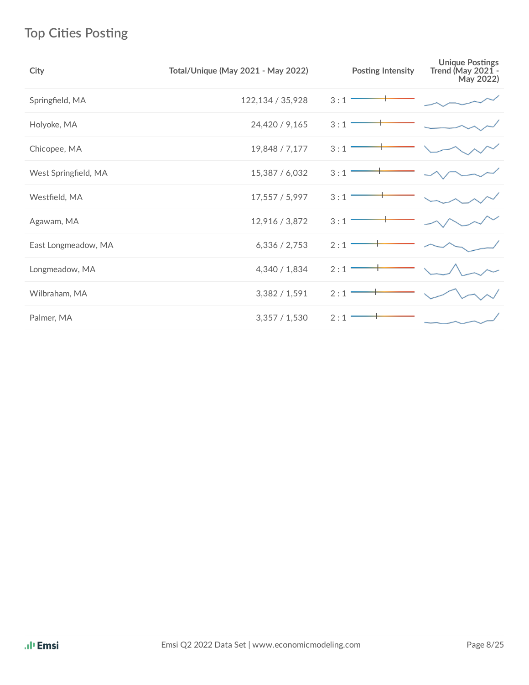# **Top Cities Posting**

| City                 | <b>Total/Unique (May 2021 - May 2022)</b> | <b>Posting Intensity</b> | <b>Unique Postings</b><br>Trend (May 2021 -<br>May 2022) |
|----------------------|-------------------------------------------|--------------------------|----------------------------------------------------------|
| Springfield, MA      | 122,134 / 35,928                          | 3:1                      |                                                          |
| Holyoke, MA          | 24,420 / 9,165                            | 3:1                      |                                                          |
| Chicopee, MA         | 19,848 / 7,177                            | 3:1                      |                                                          |
| West Springfield, MA | 15,387 / 6,032                            | 3:1                      |                                                          |
| Westfield, MA        | 17,557 / 5,997                            | 3:1                      |                                                          |
| Agawam, MA           | 12,916 / 3,872                            | 3:1                      |                                                          |
| East Longmeadow, MA  | 6,336 / 2,753                             | 2:1                      |                                                          |
| Longmeadow, MA       | 4,340 / 1,834                             | 2:1                      |                                                          |
| Wilbraham, MA        | 3,382 / 1,591                             | 2:1                      |                                                          |
| Palmer, MA           | 3,357/1,530                               | 2:1                      |                                                          |
|                      |                                           |                          |                                                          |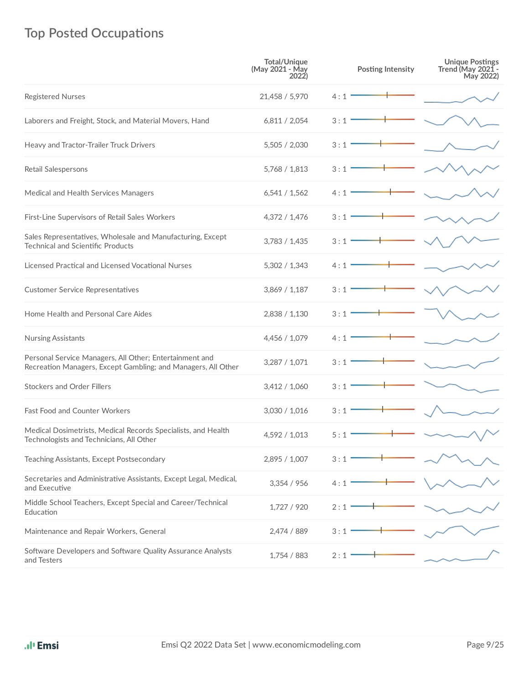# **Top Posted Occupations**

|                                                                                                                          | <b>Total/Unique</b><br>(May 2021 - May<br>2022) | <b>Posting Intensity</b> | <b>Unique Postings<br/>Trend (May 2021 -</b><br>May 2022) |
|--------------------------------------------------------------------------------------------------------------------------|-------------------------------------------------|--------------------------|-----------------------------------------------------------|
| <b>Registered Nurses</b>                                                                                                 | 21,458 / 5,970                                  | 4:1                      |                                                           |
| Laborers and Freight, Stock, and Material Movers, Hand                                                                   | 6,811 / 2,054                                   | 3:1                      |                                                           |
| Heavy and Tractor-Trailer Truck Drivers                                                                                  | 5,505 / 2,030                                   | 3:1                      |                                                           |
| Retail Salespersons                                                                                                      | 5,768 / 1,813                                   | 3:1                      |                                                           |
| Medical and Health Services Managers                                                                                     | 6,541/1,562                                     | 4 : 1                    |                                                           |
| First-Line Supervisors of Retail Sales Workers                                                                           | 4,372 / 1,476                                   | 3:1                      |                                                           |
| Sales Representatives, Wholesale and Manufacturing, Except<br><b>Technical and Scientific Products</b>                   | 3,783 / 1,435                                   | 3:1                      |                                                           |
| Licensed Practical and Licensed Vocational Nurses                                                                        | 5,302 / 1,343                                   | 4 : 1                    |                                                           |
| <b>Customer Service Representatives</b>                                                                                  | 3,869 / 1,187                                   | 3 : 1                    |                                                           |
| Home Health and Personal Care Aides                                                                                      | 2,838 / 1,130                                   | 3:1                      |                                                           |
| Nursing Assistants                                                                                                       | 4,456 / 1,079                                   | 4 : 1                    |                                                           |
| Personal Service Managers, All Other; Entertainment and<br>Recreation Managers, Except Gambling; and Managers, All Other | 3,287 / 1,071                                   | 3:1                      |                                                           |
| <b>Stockers and Order Fillers</b>                                                                                        | 3,412 / 1,060                                   | 3:1                      |                                                           |
| Fast Food and Counter Workers                                                                                            | 3,030 / 1,016                                   | 3:1                      |                                                           |
| Medical Dosimetrists, Medical Records Specialists, and Health<br>Technologists and Technicians, All Other                | 4,592 / 1,013                                   | 5:1                      |                                                           |
| Teaching Assistants, Except Postsecondary                                                                                | 2,895 / 1,007                                   | 3:1                      |                                                           |
| Secretaries and Administrative Assistants, Except Legal, Medical,<br>and Executive                                       | 3,354 / 956                                     | 4:1                      |                                                           |
| Middle School Teachers, Except Special and Career/Technical<br>Education                                                 | 1,727 / 920                                     | 2:1                      |                                                           |
| Maintenance and Repair Workers, General                                                                                  | 2,474 / 889                                     | 3:1                      |                                                           |
| Software Developers and Software Quality Assurance Analysts<br>and Testers                                               | 1,754 / 883                                     | 2:1                      |                                                           |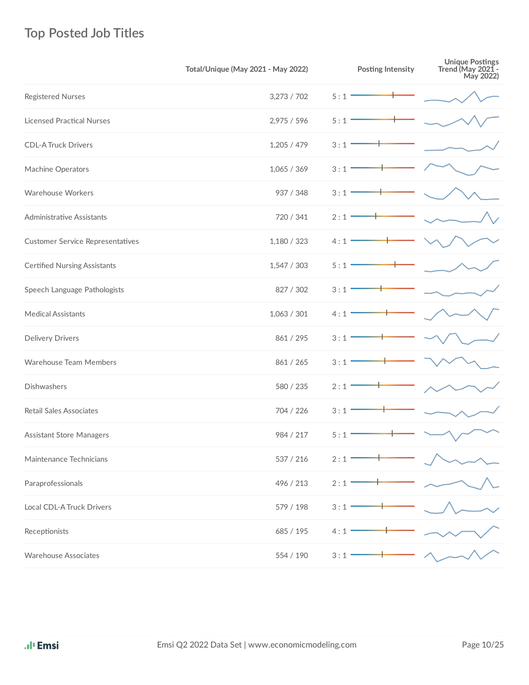# **Top Posted Job Titles**

|                                         | Total/Unique (May 2021 - May 2022) | <b>Posting Intensity</b> | Unique Postings<br>Trend (May 2021 -<br>May 2022) |
|-----------------------------------------|------------------------------------|--------------------------|---------------------------------------------------|
| Registered Nurses                       | 3,273 / 702                        | 5:1                      |                                                   |
| <b>Licensed Practical Nurses</b>        | 2,975 / 596                        | 5:1                      |                                                   |
| <b>CDL-A Truck Drivers</b>              | 1,205/479                          | 3:1                      |                                                   |
| Machine Operators                       | 1,065/369                          | 3:1                      |                                                   |
| Warehouse Workers                       | 937 / 348                          | 3:1                      |                                                   |
| Administrative Assistants               | 720 / 341                          | 2:1                      |                                                   |
| <b>Customer Service Representatives</b> | 1,180 / 323                        | 4:1                      |                                                   |
| <b>Certified Nursing Assistants</b>     | 1,547 / 303                        | 5:1                      |                                                   |
| Speech Language Pathologists            | 827 / 302                          | 3:1                      |                                                   |
| <b>Medical Assistants</b>               | 1,063 / 301                        | 4:1                      |                                                   |
| <b>Delivery Drivers</b>                 | 861 / 295                          | 3:1                      |                                                   |
| Warehouse Team Members                  | 861 / 265                          | 3:1                      |                                                   |
| Dishwashers                             | 580 / 235                          | 2:1                      |                                                   |
| Retail Sales Associates                 | 704 / 226                          | 3:1                      |                                                   |
| <b>Assistant Store Managers</b>         | 984 / 217                          | 5:1                      |                                                   |
| Maintenance Technicians                 | 537 / 216                          | 2:1                      |                                                   |
| Paraprofessionals                       | 496 / 213                          | 2:1                      |                                                   |
| Local CDL-A Truck Drivers               | 579 / 198                          | 3:1                      |                                                   |
| Receptionists                           | 685 / 195                          | 4:1                      |                                                   |
| <b>Warehouse Associates</b>             | 554 / 190                          | 3:1                      |                                                   |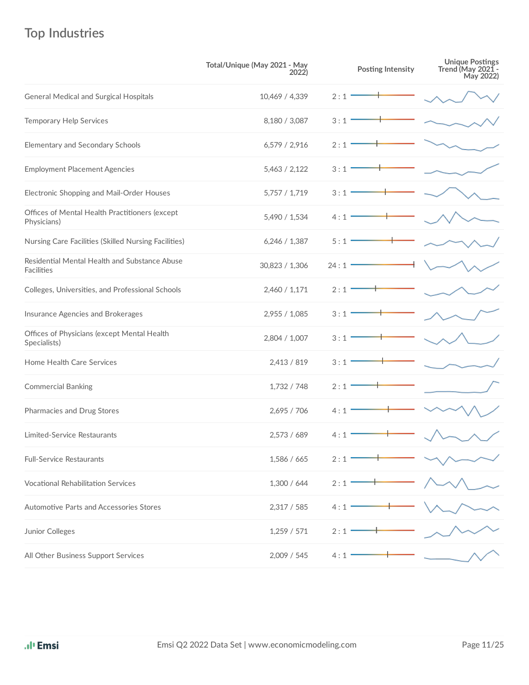# **Top Industries**

|                                                               | Total/Unique (May 2021 - May<br>2022) | <b>Posting Intensity</b> | Unique Postings<br>Trend (May 2021 -<br>May 2022) |
|---------------------------------------------------------------|---------------------------------------|--------------------------|---------------------------------------------------|
| <b>General Medical and Surgical Hospitals</b>                 | 10,469 / 4,339                        | 2:1                      |                                                   |
| <b>Temporary Help Services</b>                                | 8,180 / 3,087                         | 3:1                      |                                                   |
| Elementary and Secondary Schools                              | 6,579/2,916                           | 2:1                      |                                                   |
| <b>Employment Placement Agencies</b>                          | 5,463 / 2,122                         | 3:1                      |                                                   |
| Electronic Shopping and Mail-Order Houses                     | 5,757 / 1,719                         | 3:1                      |                                                   |
| Offices of Mental Health Practitioners (except<br>Physicians) | 5,490 / 1,534                         | 4:1                      |                                                   |
| Nursing Care Facilities (Skilled Nursing Facilities)          | 6,246 / 1,387                         | 5:1                      |                                                   |
| Residential Mental Health and Substance Abuse<br>Facilities   | 30,823 / 1,306                        | 24:1                     |                                                   |
| Colleges, Universities, and Professional Schools              | 2,460 / 1,171                         | 2:1                      |                                                   |
| Insurance Agencies and Brokerages                             | 2,955 / 1,085                         | 3:1                      |                                                   |
| Offices of Physicians (except Mental Health<br>Specialists)   | 2,804 / 1,007                         | 3:1                      |                                                   |
| Home Health Care Services                                     | 2,413 / 819                           | 3:1                      |                                                   |
| <b>Commercial Banking</b>                                     | 1,732 / 748                           | 2:1                      |                                                   |
| Pharmacies and Drug Stores                                    | 2,695 / 706                           | 4:1                      |                                                   |
| Limited-Service Restaurants                                   | 2.573 / 689                           | 4:1                      |                                                   |
| <b>Full-Service Restaurants</b>                               | 1,586 / 665                           | 2:1                      |                                                   |
| <b>Vocational Rehabilitation Services</b>                     | 1,300 / 644                           | 2:1                      |                                                   |
| Automotive Parts and Accessories Stores                       | 2,317 / 585                           | 4:1                      |                                                   |
| Junior Colleges                                               | 1,259/571                             | 2:1                      |                                                   |
| All Other Business Support Services                           | 2,009 / 545                           | 4:1                      |                                                   |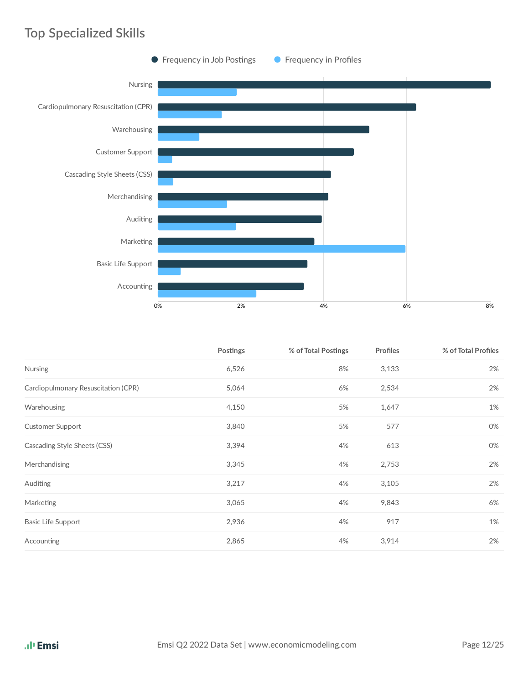## **Top Specialized Skills**



|                                     | <b>Postings</b> | % of Total Postings | Profiles | % of Total Profiles |
|-------------------------------------|-----------------|---------------------|----------|---------------------|
| <b>Nursing</b>                      | 6,526           | 8%                  | 3,133    | 2%                  |
| Cardiopulmonary Resuscitation (CPR) | 5,064           | 6%                  | 2,534    | 2%                  |
| Warehousing                         | 4,150           | 5%                  | 1,647    | 1%                  |
| <b>Customer Support</b>             | 3,840           | 5%                  | 577      | 0%                  |
| Cascading Style Sheets (CSS)        | 3,394           | 4%                  | 613      | 0%                  |
| Merchandising                       | 3,345           | 4%                  | 2,753    | 2%                  |
| Auditing                            | 3,217           | 4%                  | 3,105    | 2%                  |
| Marketing                           | 3,065           | 4%                  | 9,843    | 6%                  |
| <b>Basic Life Support</b>           | 2,936           | 4%                  | 917      | 1%                  |
| Accounting                          | 2,865           | 4%                  | 3,914    | 2%                  |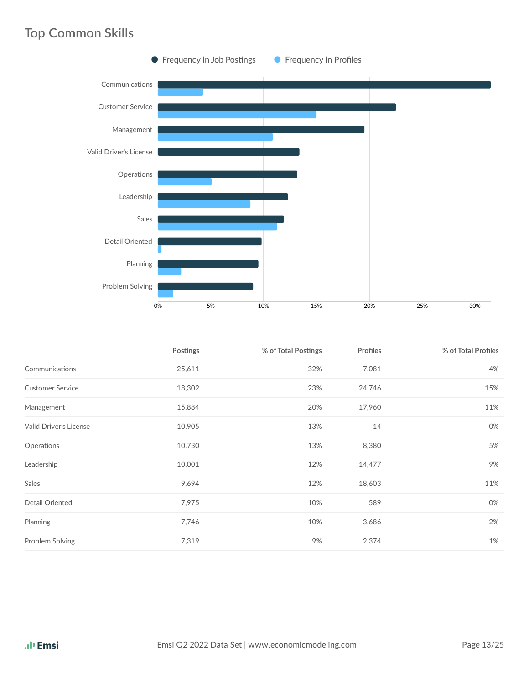### **Top Common Skills**



|                         | Postings | % of Total Postings | <b>Profiles</b> | % of Total Profiles |
|-------------------------|----------|---------------------|-----------------|---------------------|
| Communications          | 25,611   | 32%                 | 7,081           | 4%                  |
| <b>Customer Service</b> | 18,302   | 23%                 | 24,746          | 15%                 |
| Management              | 15,884   | 20%                 | 17,960          | 11%                 |
| Valid Driver's License  | 10,905   | 13%                 | 14              | 0%                  |
| Operations              | 10,730   | 13%                 | 8,380           | 5%                  |
| Leadership              | 10,001   | 12%                 | 14,477          | 9%                  |
| Sales                   | 9,694    | 12%                 | 18,603          | 11%                 |
| Detail Oriented         | 7,975    | 10%                 | 589             | 0%                  |
| Planning                | 7,746    | 10%                 | 3,686           | 2%                  |
| Problem Solving         | 7,319    | 9%                  | 2,374           | 1%                  |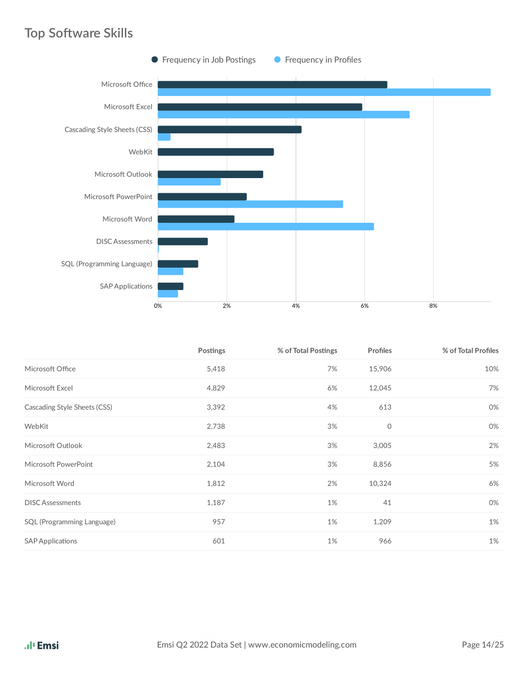### **Top Software Skills**



|                              | Postings | % of Total Postings | <b>Profiles</b> | % of Total Profiles |
|------------------------------|----------|---------------------|-----------------|---------------------|
| Microsoft Office             | 5,418    | 7%                  | 15,906          | 10%                 |
| Microsoft Excel              | 4,829    | 6%                  | 12,045          | 7%                  |
| Cascading Style Sheets (CSS) | 3,392    | 4%                  | 613             | 0%                  |
| WebKit                       | 2,738    | 3%                  | 0               | 0%                  |
| Microsoft Outlook            | 2,483    | 3%                  | 3,005           | 2%                  |
| Microsoft PowerPoint         | 2,104    | 3%                  | 8,856           | 5%                  |
| Microsoft Word               | 1,812    | 2%                  | 10,324          | 6%                  |
| <b>DISC</b> Assessments      | 1,187    | 1%                  | 41              | 0%                  |
| SQL (Programming Language)   | 957      | 1%                  | 1,209           | 1%                  |
| <b>SAP Applications</b>      | 601      | 1%                  | 966             | 1%                  |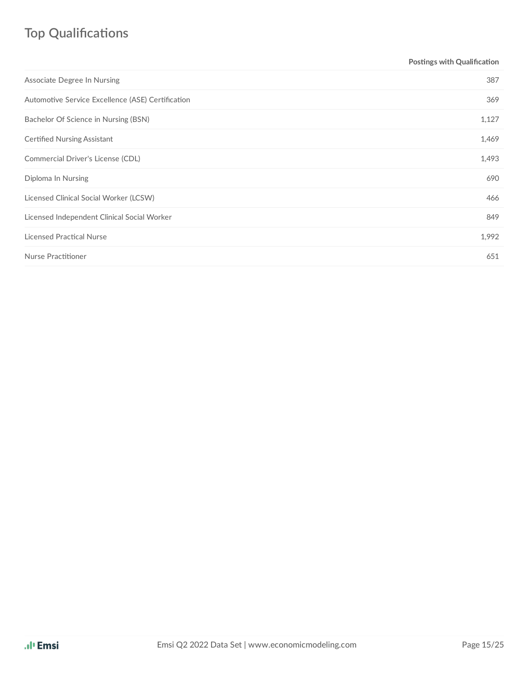# **Top Qualifications**

| Postings with Qualification |
|-----------------------------|
| 387                         |
| 369                         |
| 1,127                       |
| 1,469                       |
| 1,493                       |
| 690                         |
| 466                         |
| 849                         |
| 1,992                       |
| 651                         |
|                             |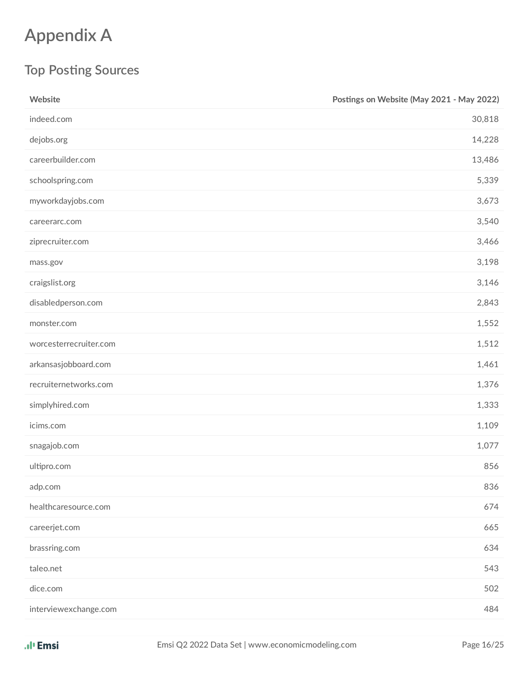# **Appendix A**

## **Top Posting Sources**

| Website                | Postings on Website (May 2021 - May 2022) |
|------------------------|-------------------------------------------|
| indeed.com             | 30,818                                    |
| dejobs.org             | 14,228                                    |
| careerbuilder.com      | 13,486                                    |
| schoolspring.com       | 5,339                                     |
| myworkdayjobs.com      | 3,673                                     |
| careerarc.com          | 3,540                                     |
| ziprecruiter.com       | 3,466                                     |
| mass.gov               | 3,198                                     |
| craigslist.org         | 3,146                                     |
| disabledperson.com     | 2,843                                     |
| monster.com            | 1,552                                     |
| worcesterrecruiter.com | 1,512                                     |
| arkansasjobboard.com   | 1,461                                     |
| recruiternetworks.com  | 1,376                                     |
| simplyhired.com        | 1,333                                     |
| icims.com              | 1,109                                     |
| snagajob.com           | 1,077                                     |
| ultipro.com            | 856                                       |
| adp.com                | 836                                       |
| healthcaresource.com   | 674                                       |
| careerjet.com          | 665                                       |
| brassring.com          | 634                                       |
| taleo.net              | 543                                       |
| dice.com               | 502                                       |
| interviewexchange.com  | 484                                       |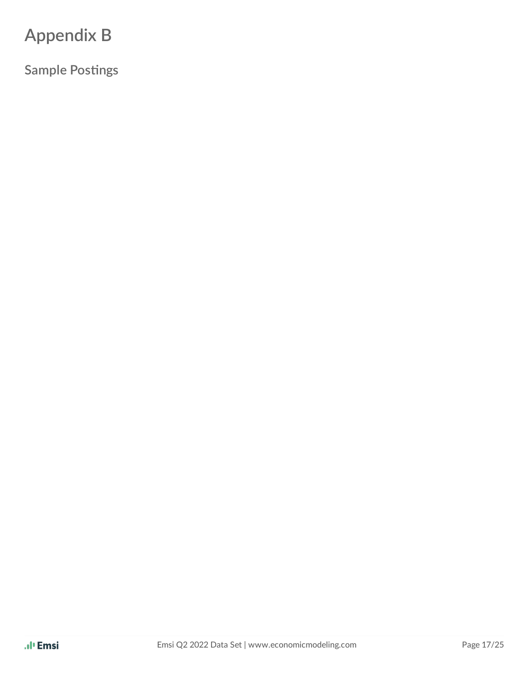# **Appendix B**

**Sample Postings**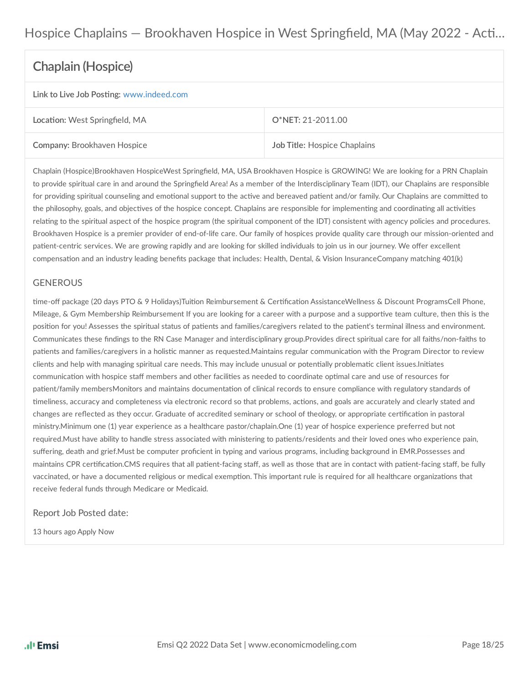### Hospice Chaplains — Brookhaven Hospice in West Springfield, MA (May 2022 - Acti...

### **Chaplain (Hospice)**

#### **Link** to Live Job Posting: [www.indeed.com](https://www.indeed.com/viewjob?jk=142b9cdd2cd2a426&fccid=b058bf0737066e83&vjs=3)

| Location: West Springfield, MA     | O*NET: 21-2011.00            |
|------------------------------------|------------------------------|
| <b>Company: Brookhaven Hospice</b> | Job Title: Hospice Chaplains |

Chaplain (Hospice)Brookhaven HospiceWest Springfield, MA, USA Brookhaven Hospice is GROWING! We are looking for a PRN Chaplain to provide spiritual care in and around the Springfield Area! As a member of the Interdisciplinary Team (IDT), our Chaplains are responsible for providing spiritual counseling and emotional support to the active and bereaved patient and/or family. Our Chaplains are committed to the philosophy, goals, and objectives of the hospice concept. Chaplains are responsible for implementing and coordinating all activities relating to the spiritual aspect of the hospice program (the spiritual component of the IDT) consistent with agency policies and procedures. Brookhaven Hospice is a premier provider of end-of-life care. Our family of hospices provide quality care through our mission-oriented and patient-centric services. We are growing rapidly and are looking for skilled individuals to join us in our journey. We offer excellent compensation and an industry leading benefits package that includes: Health, Dental, & Vision InsuranceCompany matching 401(k)

#### GENEROUS

time-off package (20 days PTO & 9 Holidays)Tuition Reimbursement & Certification AssistanceWellness & Discount ProgramsCell Phone, Mileage, & Gym Membership Reimbursement If you are looking for a career with a purpose and a supportive team culture, then this is the position for you! Assesses the spiritual status of patients and families/caregivers related to the patient's terminal illness and environment. Communicates these findings to the RN Case Manager and interdisciplinary group.Provides direct spiritual care for all faiths/non-faiths to patients and families/caregivers in a holistic manner as requested.Maintains regular communication with the Program Director to review clients and help with managing spiritual care needs. This may include unusual or potentially problematic client issues.Initiates communication with hospice staff members and other facilities as needed to coordinate optimal care and use of resources for patient/family membersMonitors and maintains documentation of clinical records to ensure compliance with regulatory standards of timeliness, accuracy and completeness via electronic record so that problems, actions, and goals are accurately and clearly stated and changes are reflected as they occur. Graduate of accredited seminary or school of theology, or appropriate certification in pastoral ministry.Minimum one (1) year experience as a healthcare pastor/chaplain.One (1) year of hospice experience preferred but not required.Must have ability to handle stress associated with ministering to patients/residents and their loved ones who experience pain, suffering, death and grief.Must be computer proficient in typing and various programs, including background in EMR.Possesses and maintains CPR certification.CMS requires that all patient-facing staff, as well as those that are in contact with patient-facing staff, be fully vaccinated, or have a documented religious or medical exemption. This important rule is required for all healthcare organizations that receive federal funds through Medicare or Medicaid.

#### Report Job Posted date:

13 hours ago Apply Now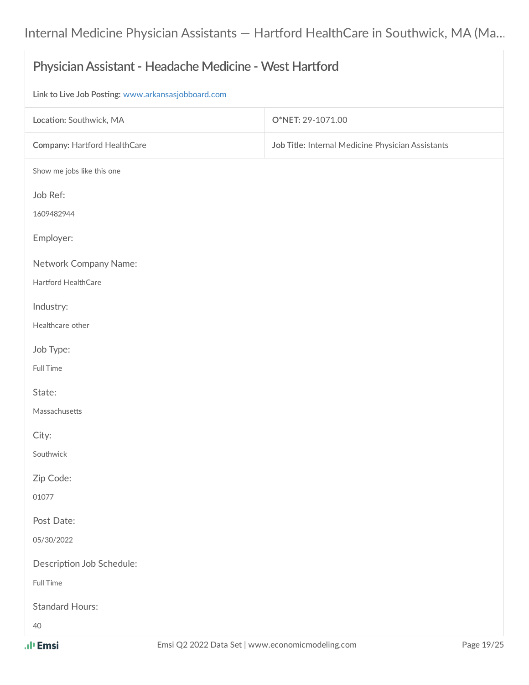| Physician Assistant - Headache Medicine - West Hartford |                                                   |  |
|---------------------------------------------------------|---------------------------------------------------|--|
| Link to Live Job Posting: www.arkansasjobboard.com      |                                                   |  |
| Location: Southwick, MA                                 | O*NET: 29-1071.00                                 |  |
| Company: Hartford HealthCare                            | Job Title: Internal Medicine Physician Assistants |  |
| Show me jobs like this one                              |                                                   |  |
| Job Ref:                                                |                                                   |  |
| 1609482944                                              |                                                   |  |
| Employer:                                               |                                                   |  |
| Network Company Name:                                   |                                                   |  |
| Hartford HealthCare                                     |                                                   |  |
| Industry:                                               |                                                   |  |
| Healthcare other                                        |                                                   |  |
| Job Type:                                               |                                                   |  |
| Full Time                                               |                                                   |  |
| State:                                                  |                                                   |  |
| Massachusetts                                           |                                                   |  |
| City:                                                   |                                                   |  |
| Southwick                                               |                                                   |  |
| Zip Code:                                               |                                                   |  |
| 01077                                                   |                                                   |  |
| Post Date:                                              |                                                   |  |
| 05/30/2022                                              |                                                   |  |
| Description Job Schedule:                               |                                                   |  |
| Full Time                                               |                                                   |  |
| <b>Standard Hours:</b>                                  |                                                   |  |
| 40                                                      |                                                   |  |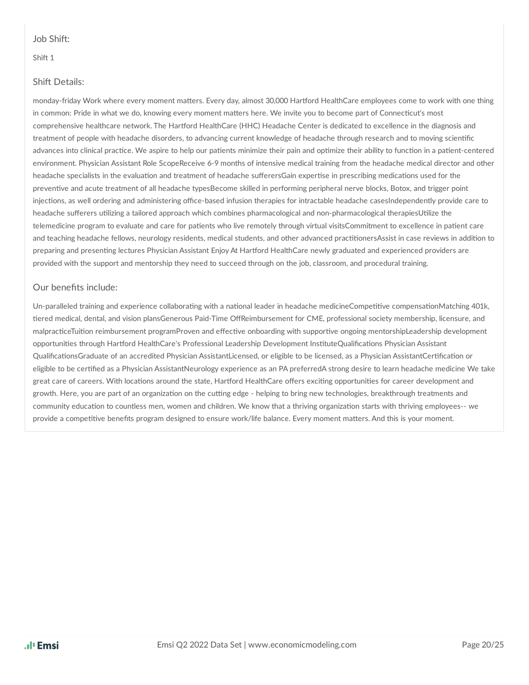#### Job Shift:

#### Shift 1

#### Shift Details:

monday-friday Work where every moment matters. Every day, almost 30,000 Hartford HealthCare employees come to work with one thing in common: Pride in what we do, knowing every moment matters here. We invite you to become part of Connecticut's most comprehensive healthcare network. The Hartford HealthCare (HHC) Headache Center is dedicated to excellence in the diagnosis and treatment of people with headache disorders, to advancing current knowledge of headache through research and to moving scientific advances into clinical practice. We aspire to help our patients minimize their pain and optimize their ability to function in a patient-centered environment. Physician Assistant Role ScopeReceive 6-9 months of intensive medical training from the headache medical director and other headache specialists in the evaluation and treatment of headache sufferersGain expertise in prescribing medications used for the preventive and acute treatment of all headache typesBecome skilled in performing peripheral nerve blocks, Botox, and trigger point injections, as well ordering and administering office-based infusion therapies for intractable headache casesIndependently provide care to headache sufferers utilizing a tailored approach which combines pharmacological and non-pharmacological therapiesUtilize the telemedicine program to evaluate and care for patients who live remotely through virtual visitsCommitment to excellence in patient care and teaching headache fellows, neurology residents, medical students, and other advanced practitionersAssist in case reviews in addition to preparing and presenting lectures Physician Assistant Enjoy At Hartford HealthCare newly graduated and experienced providers are provided with the support and mentorship they need to succeed through on the job, classroom, and procedural training.

#### Our benefits include:

Un-paralleled training and experience collaborating with a national leader in headache medicineCompetitive compensationMatching 401k, tiered medical, dental, and vision plansGenerous Paid-Time OffReimbursement for CME, professional society membership, licensure, and malpracticeTuition reimbursement programProven and effective onboarding with supportive ongoing mentorshipLeadership development opportunities through Hartford HealthCare's Professional Leadership Development InstituteQualifications Physician Assistant QualificationsGraduate of an accredited Physician AssistantLicensed, or eligible to be licensed, as a Physician AssistantCertification or eligible to be certified as a Physician AssistantNeurology experience as an PA preferredA strong desire to learn headache medicine We take great care of careers. With locations around the state, Hartford HealthCare offers exciting opportunities for career development and growth. Here, you are part of an organization on the cutting edge - helping to bring new technologies, breakthrough treatments and community education to countless men, women and children. We know that a thriving organization starts with thriving employees-- we provide a competitive benefits program designed to ensure work/life balance. Every moment matters. And this is your moment.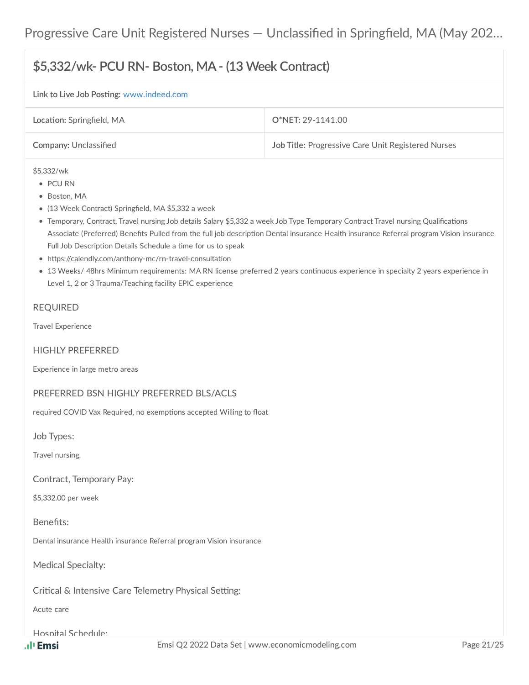## **\$5,332/wk- PCU RN- Boston, MA- (13 Week Contract)**

#### **Link to Live Job Posting: [www.indeed.com](https://www.indeed.com/job/5332wk-pcu-rn-boston-ma-13-week-contract-a060069140805094)**

| Location: Springfield, MA    | O*NET: 29-1141.00                                         |
|------------------------------|-----------------------------------------------------------|
| <b>Company: Unclassified</b> | <b>Job Title: Progressive Care Unit Registered Nurses</b> |

#### \$5,332/wk

- PCU RN
- Boston, MA
- (13 Week Contract) Springfield, MA \$5,332 a week
- Temporary, Contract, Travel nursing Job details Salary \$5,332 a week Job Type Temporary Contract Travel nursing Qualifications Associate (Preferred) Benefits Pulled from the full job description Dental insurance Health insurance Referral program Vision insurance Full Job Description Details Schedule a time for us to speak
- https://calendly.com/anthony-mc/rn-travel-consultation
- 13 Weeks/ 48hrs Minimum requirements: MA RN license preferred 2 years continuous experience in specialty 2 years experience in Level 1, 2 or 3 Trauma/Teaching facility EPIC experience

#### REQUIRED

Travel Experience

#### HIGHLY PREFERRED

Experience in large metro areas

#### PREFERRED BSN HIGHLY PREFERRED BLS/ACLS

required COVID Vax Required, no exemptions accepted Willing to float

Job Types:

Travel nursing,

Contract, Temporary Pay:

\$5,332.00 per week

#### Benefits:

Dental insurance Health insurance Referral program Vision insurance

Medical Specialty:

Critical & Intensive Care Telemetry Physical Setting:

Acute care

#### Hospital Schedule: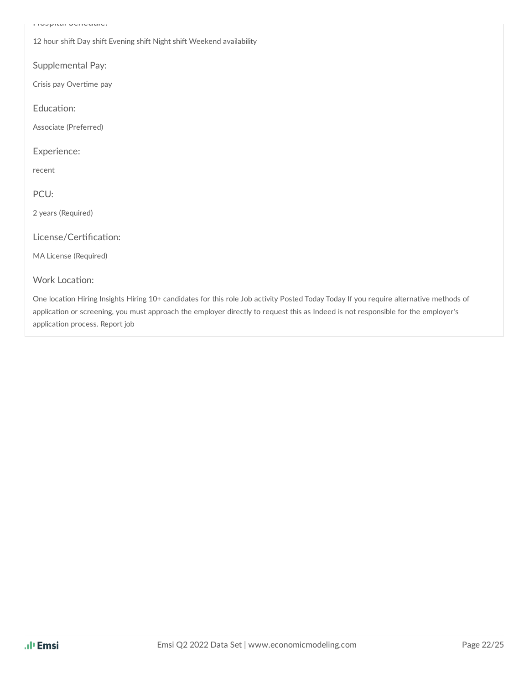Hospital Schedule:

12 hour shift Day shift Evening shift Night shift Weekend availability

Supplemental Pay:

Crisis pay Overtime pay

Education:

Associate (Preferred)

Experience:

recent

PCU:

2 years (Required)

License/Certification:

MA License (Required)

#### Work Location:

One location Hiring Insights Hiring 10+ candidates for this role Job activity Posted Today Today If you require alternative methods of application or screening, you must approach the employer directly to request this as Indeed is not responsible for the employer's application process. Report job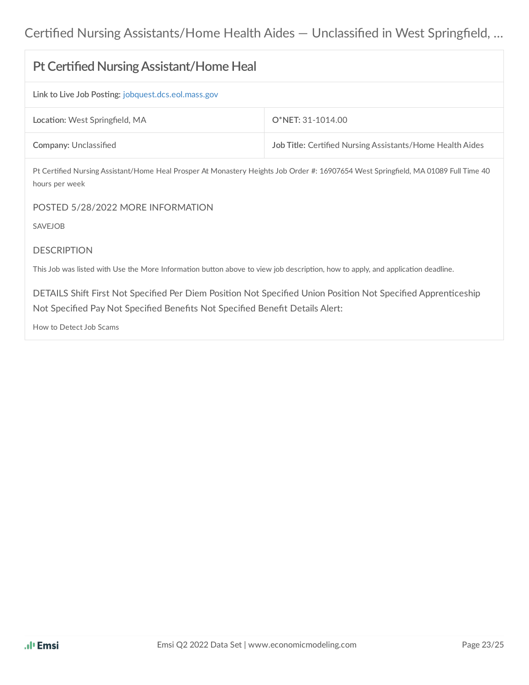| <b>Pt Certified Nursing Assistant/Home Heal</b>                                                                                                                                                |                                                           |  |  |
|------------------------------------------------------------------------------------------------------------------------------------------------------------------------------------------------|-----------------------------------------------------------|--|--|
| Link to Live Job Posting: jobquest.dcs.eol.mass.gov                                                                                                                                            |                                                           |  |  |
| Location: West Springfield, MA                                                                                                                                                                 | O*NET: 31-1014.00                                         |  |  |
| Company: Unclassified                                                                                                                                                                          | Job Title: Certified Nursing Assistants/Home Health Aides |  |  |
| Pt Certified Nursing Assistant/Home Heal Prosper At Monastery Heights Job Order #: 16907654 West Springfield, MA 01089 Full Time 40<br>hours per week                                          |                                                           |  |  |
| POSTED 5/28/2022 MORE INFORMATION                                                                                                                                                              |                                                           |  |  |
| <b>SAVEJOB</b>                                                                                                                                                                                 |                                                           |  |  |
| <b>DESCRIPTION</b>                                                                                                                                                                             |                                                           |  |  |
| This Job was listed with Use the More Information button above to view job description, how to apply, and application deadline.                                                                |                                                           |  |  |
| DETAILS Shift First Not Specified Per Diem Position Not Specified Union Position Not Specified Apprenticeship<br>Not Specified Pay Not Specified Benefits Not Specified Benefit Details Alert: |                                                           |  |  |
| How to Detect Job Scams                                                                                                                                                                        |                                                           |  |  |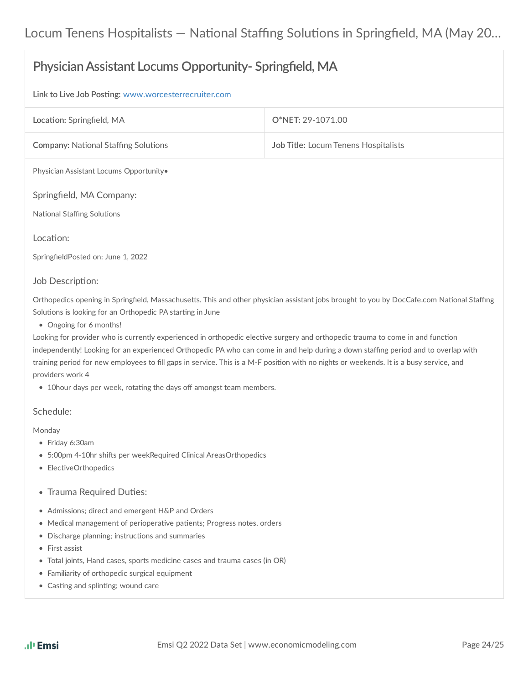| Physician Assistant Locums Opportunity- Springfield, MA                                                                                                                                                                             |                                      |  |
|-------------------------------------------------------------------------------------------------------------------------------------------------------------------------------------------------------------------------------------|--------------------------------------|--|
| Link to Live Job Posting: www.worcesterrecruiter.com                                                                                                                                                                                |                                      |  |
| Location: Springfield, MA                                                                                                                                                                                                           | O*NET: 29-1071.00                    |  |
| <b>Company: National Staffing Solutions</b>                                                                                                                                                                                         | Job Title: Locum Tenens Hospitalists |  |
| Physician Assistant Locums Opportunity.                                                                                                                                                                                             |                                      |  |
| Springfield, MA Company:                                                                                                                                                                                                            |                                      |  |
| <b>National Staffing Solutions</b>                                                                                                                                                                                                  |                                      |  |
| Location:                                                                                                                                                                                                                           |                                      |  |
| SpringfieldPosted on: June 1, 2022                                                                                                                                                                                                  |                                      |  |
| Job Description:                                                                                                                                                                                                                    |                                      |  |
| Orthopedics opening in Springfield, Massachusetts. This and other physician assistant jobs brought to you by DocCafe.com National Staffing<br>Solutions is looking for an Orthopedic PA starting in June<br>• Ongoing for 6 months! |                                      |  |
| Looking for provider who is currently experienced in orthopedic elective surgery and orthopedic trauma to come in and function                                                                                                      |                                      |  |
| independently! Looking for an experienced Orthopedic PA who can come in and help during a down staffing period and to overlap with                                                                                                  |                                      |  |
| training period for new employees to fill gaps in service. This is a M-F position with no nights or weekends. It is a busy service, and<br>providers work 4                                                                         |                                      |  |
| • 10 hour days per week, rotating the days off amongst team members.                                                                                                                                                                |                                      |  |

#### Schedule:

Monday

- Friday 6:30am
- 5:00pm 4-10hr shifts per weekRequired Clinical AreasOrthopedics
- ElectiveOrthopedics
- Trauma Required Duties:
- Admissions; direct and emergent H&P and Orders
- $\bullet$  Medical management of perioperative patients; Progress notes, orders
- Discharge planning; instructions and summaries
- First assist
- Total joints, Hand cases, sports medicine cases and trauma cases (in OR)
- Familiarity of orthopedic surgical equipment
- Casting and splinting; wound care